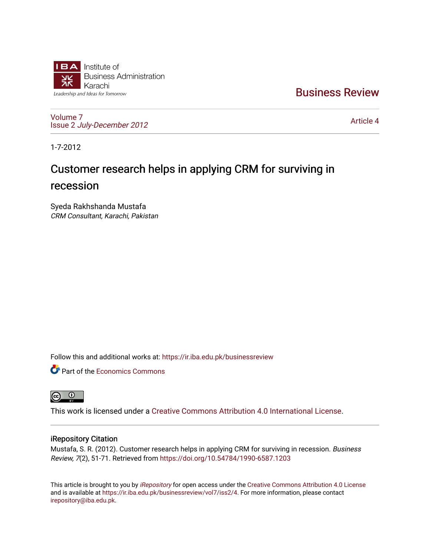

[Business Review](https://ir.iba.edu.pk/businessreview) 

[Volume 7](https://ir.iba.edu.pk/businessreview/vol7) Issue 2 [July-December 2012](https://ir.iba.edu.pk/businessreview/vol7/iss2)

[Article 4](https://ir.iba.edu.pk/businessreview/vol7/iss2/4) 

1-7-2012

# Customer research helps in applying CRM for surviving in recession

Syeda Rakhshanda Mustafa CRM Consultant, Karachi, Pakistan

Follow this and additional works at: [https://ir.iba.edu.pk/businessreview](https://ir.iba.edu.pk/businessreview?utm_source=ir.iba.edu.pk%2Fbusinessreview%2Fvol7%2Fiss2%2F4&utm_medium=PDF&utm_campaign=PDFCoverPages) 

**P** Part of the [Economics Commons](http://network.bepress.com/hgg/discipline/340?utm_source=ir.iba.edu.pk%2Fbusinessreview%2Fvol7%2Fiss2%2F4&utm_medium=PDF&utm_campaign=PDFCoverPages)



This work is licensed under a [Creative Commons Attribution 4.0 International License](https://creativecommons.org/licenses/by/4.0/).

## iRepository Citation

Mustafa, S. R. (2012). Customer research helps in applying CRM for surviving in recession. Business Review, 7(2), 51-71. Retrieved from <https://doi.org/10.54784/1990-6587.1203>

This article is brought to you by [iRepository](https://ir.iba.edu.pk/) for open access under the Creative Commons Attribution 4.0 License and is available at [https://ir.iba.edu.pk/businessreview/vol7/iss2/4.](https://ir.iba.edu.pk/businessreview/vol7/iss2/4) For more information, please contact [irepository@iba.edu.pk.](mailto:irepository@iba.edu.pk)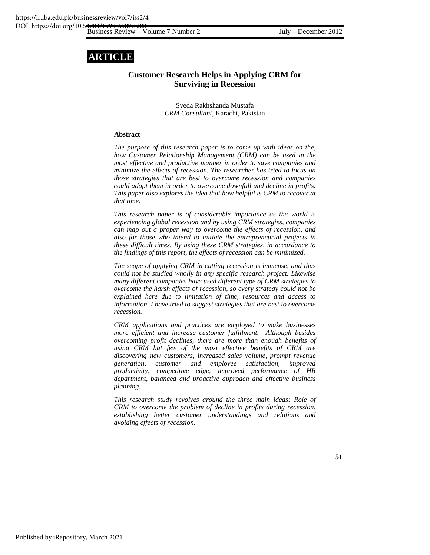## **ARTICLE**

## **Customer Research Helps in Applying CRM for Surviving in Recession**

Syeda Rakhshanda Mustafa *CRM Consultant,* Karachi, Pakistan

## **Abstract**

*The purpose of this research paper is to come up with ideas on the, how Customer Relationship Management (CRM) can be used in the most effective and productive manner in order to save companies and minimize the effects of recession. The researcher has tried to focus on those strategies that are best to overcome recession and companies could adopt them in order to overcome downfall and decline in profits. This paper also explores the idea that how helpful is CRM to recover at that time.* 

*This research paper is of considerable importance as the world is experiencing global recession and by using CRM strategies, companies can map out a proper way to overcome the effects of recession, and also for those who intend to initiate the entrepreneurial projects in these difficult times. By using these CRM strategies, in accordance to the findings of this report, the effects of recession can be minimized.* 

*The scope of applying CRM in cutting recession is immense, and thus could not be studied wholly in any specific research project. Likewise many different companies have used different type of CRM strategies to overcome the harsh effects of recession, so every strategy could not be explained here due to limitation of time, resources and access to information. I have tried to suggest strategies that are best to overcome recession.* 

*CRM applications and practices are employed to make businesses more efficient and increase customer fulfillment. Although besides overcoming profit declines, there are more than enough benefits of using CRM but few of the most effective benefits of CRM are discovering new customers, increased sales volume, prompt revenue generation, customer and employee satisfaction, improved productivity, competitive edge, improved performance of HR department, balanced and proactive approach and effective business planning.* 

*This research study revolves around the three main ideas: Role of CRM to overcome the problem of decline in profits during recession, establishing better customer understandings and relations and avoiding effects of recession.*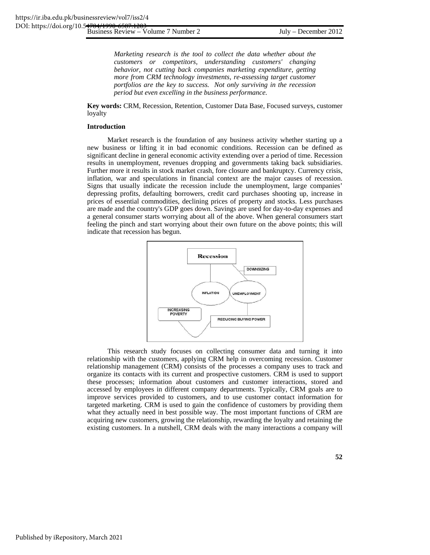*Marketing research is the tool to collect the data whether about the customers or competitors, understanding customers' changing behavior, not cutting back companies marketing expenditure, getting more from CRM technology investments, re-assessing target customer portfolios are the key to success. Not only surviving in the recession period but even excelling in the business performance.* 

**Key words:** CRM, Recession, Retention, Customer Data Base, Focused surveys, customer loyalty

#### **Introduction**

Market research is the foundation of any business activity whether starting up a new business or lifting it in bad economic conditions. Recession can be defined as significant decline in general economic activity extending over a period of time. Recession results in unemployment, revenues dropping and governments taking back subsidiaries. Further more it results in stock market crash, fore closure and bankruptcy. Currency crisis, inflation, war and speculations in financial context are the major causes of recession. Signs that usually indicate the recession include the unemployment, large companies' depressing profits, defaulting borrowers, credit card purchases shooting up, increase in prices of essential commodities, declining prices of property and stocks. Less purchases are made and the country's GDP goes down. Savings are used for day-to-day expenses and a general consumer starts worrying about all of the above. When general consumers start feeling the pinch and start worrying about their own future on the above points; this will indicate that recession has begun.



This research study focuses on collecting consumer data and turning it into relationship with the customers, applying CRM help in overcoming recession. Customer relationship management (CRM) consists of the processes a company uses to track and organize its contacts with its current and prospective customers. CRM is used to support these processes; information about customers and customer interactions, stored and accessed by employees in different company departments. Typically, CRM goals are to improve services provided to customers, and to use customer contact information for targeted marketing. CRM is used to gain the confidence of customers by providing them what they actually need in best possible way. The most important functions of CRM are acquiring new customers, growing the relationship, rewarding the loyalty and retaining the existing customers. In a nutshell, CRM deals with the many interactions a company will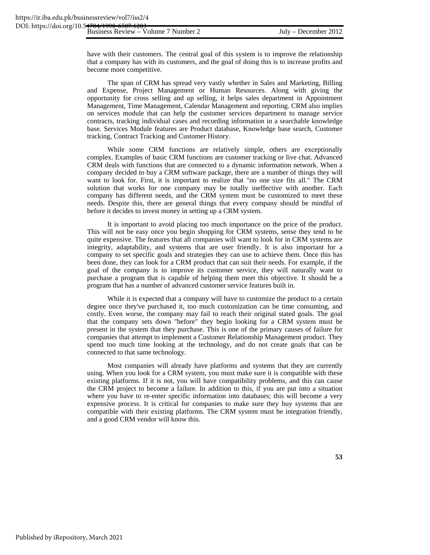have with their customers. The central goal of this system is to improve the relationship that a company has with its customers, and the goal of doing this is to increase profits and become more competitive.

The span of CRM has spread very vastly whether in Sales and Marketing, Billing and Expense, Project Management or Human Resources. Along with giving the opportunity for cross selling and up selling, it helps sales department in Appointment Management, Time Management, Calendar Management and reporting. CRM also implies on services module that can help the customer services department to manage service contracts, tracking individual cases and recording information in a searchable knowledge base. Services Module features are Product database, Knowledge base search, Customer tracking, Contract Tracking and Customer History.

While some CRM functions are relatively simple, others are exceptionally complex. Examples of basic CRM functions are customer tracking or live chat. Advanced CRM deals with functions that are connected to a dynamic information network. When a company decided to buy a CRM software package, there are a number of things they will want to look for. First, it is important to realize that "no one size fits all." The CRM solution that works for one company may be totally ineffective with another. Each company has different needs, and the CRM system must be customized to meet these needs. Despite this, there are general things that every company should be mindful of before it decides to invest money in setting up a CRM system.

It is important to avoid placing too much importance on the price of the product. This will not be easy once you begin shopping for CRM systems, sense they tend to be quite expensive. The features that all companies will want to look for in CRM systems are integrity, adaptability, and systems that are user friendly. It is also important for a company to set specific goals and strategies they can use to achieve them. Once this has been done, they can look for a CRM product that can suit their needs. For example, if the goal of the company is to improve its customer service, they will naturally want to purchase a program that is capable of helping them meet this objective. It should be a program that has a number of advanced customer service features built in.

While it is expected that a company will have to customize the product to a certain degree once they've purchased it, too much customization can be time consuming, and costly. Even worse, the company may fail to reach their original stated goals. The goal that the company sets down "before" they begin looking for a CRM system must be present in the system that they purchase. This is one of the primary causes of failure for companies that attempt to implement a Customer Relationship Management product. They spend too much time looking at the technology, and do not create goals that can be connected to that same technology.

Most companies will already have platforms and systems that they are currently using. When you look for a CRM system, you must make sure it is compatible with these existing platforms. If it is not, you will have compatibility problems, and this can cause the CRM project to become a failure. In addition to this, if you are put into a situation where you have to re-enter specific information into databases; this will become a very expensive process. It is critical for companies to make sure they buy systems that are compatible with their existing platforms. The CRM system must be integration friendly, and a good CRM vendor will know this.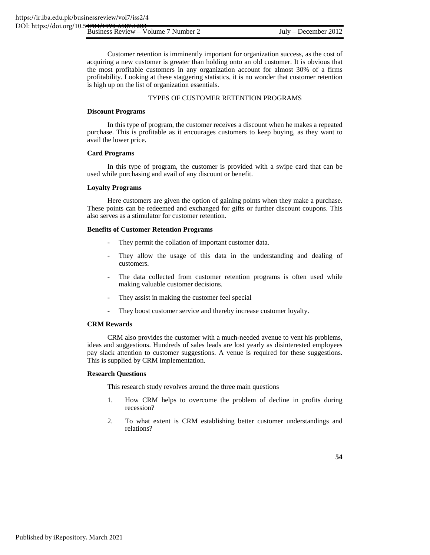Customer retention is imminently important for organization success, as the cost of acquiring a new customer is greater than holding onto an old customer. It is obvious that the most profitable customers in any organization account for almost 30% of a firms profitability. Looking at these staggering statistics, it is no wonder that customer retention is high up on the list of organization essentials.

## TYPES OF CUSTOMER RETENTION PROGRAMS

## **Discount Programs**

In this type of program, the customer receives a discount when he makes a repeated purchase. This is profitable as it encourages customers to keep buying, as they want to avail the lower price.

#### **Card Programs**

In this type of program, the customer is provided with a swipe card that can be used while purchasing and avail of any discount or benefit.

#### **Loyalty Programs**

Here customers are given the option of gaining points when they make a purchase. These points can be redeemed and exchanged for gifts or further discount coupons. This also serves as a stimulator for customer retention.

## **Benefits of Customer Retention Programs**

- They permit the collation of important customer data.
- They allow the usage of this data in the understanding and dealing of customers.
- The data collected from customer retention programs is often used while making valuable customer decisions.
- They assist in making the customer feel special
- They boost customer service and thereby increase customer loyalty.

## **CRM Rewards**

CRM also provides the customer with a much-needed avenue to vent his problems, ideas and suggestions. Hundreds of sales leads are lost yearly as disinterested employees pay slack attention to customer suggestions. A venue is required for these suggestions. This is supplied by CRM implementation.

#### **Research Questions**

This research study revolves around the three main questions

- 1. How CRM helps to overcome the problem of decline in profits during recession?
- 2. To what extent is CRM establishing better customer understandings and relations?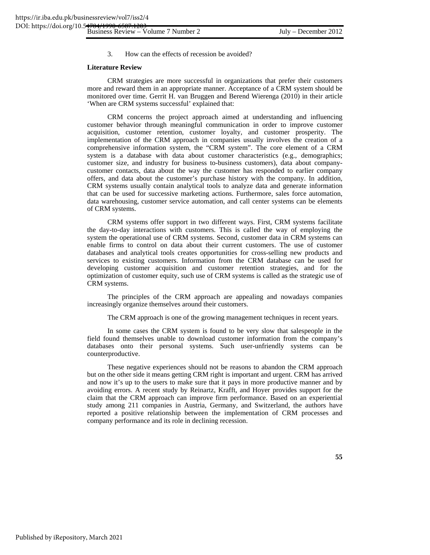3. How can the effects of recession be avoided?

#### **Literature Review**

CRM strategies are more successful in organizations that prefer their customers more and reward them in an appropriate manner. Acceptance of a CRM system should be monitored over time. Gerrit H. van Bruggen and Berend Wierenga (2010) in their article 'When are CRM systems successful' explained that:

CRM concerns the project approach aimed at understanding and influencing customer behavior through meaningful communication in order to improve customer acquisition, customer retention, customer loyalty, and customer prosperity. The implementation of the CRM approach in companies usually involves the creation of a comprehensive information system, the "CRM system". The core element of a CRM system is a database with data about customer characteristics (e.g., demographics; customer size, and industry for business to-business customers), data about companycustomer contacts, data about the way the customer has responded to earlier company offers, and data about the customer's purchase history with the company. In addition, CRM systems usually contain analytical tools to analyze data and generate information that can be used for successive marketing actions. Furthermore, sales force automation, data warehousing, customer service automation, and call center systems can be elements of CRM systems.

CRM systems offer support in two different ways. First, CRM systems facilitate the day-to-day interactions with customers. This is called the way of employing the system the operational use of CRM systems. Second, customer data in CRM systems can enable firms to control on data about their current customers. The use of customer databases and analytical tools creates opportunities for cross-selling new products and services to existing customers. Information from the CRM database can be used for developing customer acquisition and customer retention strategies, and for the optimization of customer equity, such use of CRM systems is called as the strategic use of CRM systems.

The principles of the CRM approach are appealing and nowadays companies increasingly organize themselves around their customers.

The CRM approach is one of the growing management techniques in recent years.

In some cases the CRM system is found to be very slow that salespeople in the field found themselves unable to download customer information from the company's databases onto their personal systems. Such user-unfriendly systems can be counterproductive.

These negative experiences should not be reasons to abandon the CRM approach but on the other side it means getting CRM right is important and urgent. CRM has arrived and now it's up to the users to make sure that it pays in more productive manner and by avoiding errors. A recent study by Reinartz, Krafft, and Hoyer provides support for the claim that the CRM approach can improve firm performance. Based on an experiential study among 211 companies in Austria, Germany, and Switzerland, the authors have reported a positive relationship between the implementation of CRM processes and company performance and its role in declining recession.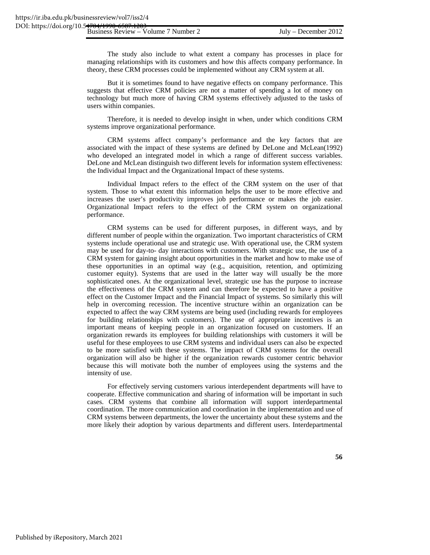The study also include to what extent a company has processes in place for managing relationships with its customers and how this affects company performance. In theory, these CRM processes could be implemented without any CRM system at all.

But it is sometimes found to have negative effects on company performance. This suggests that effective CRM policies are not a matter of spending a lot of money on technology but much more of having CRM systems effectively adjusted to the tasks of users within companies.

Therefore, it is needed to develop insight in when, under which conditions CRM systems improve organizational performance.

CRM systems affect company's performance and the key factors that are associated with the impact of these systems are defined by DeLone and McLean(1992) who developed an integrated model in which a range of different success variables. DeLone and McLean distinguish two different levels for information system effectiveness: the Individual Impact and the Organizational Impact of these systems.

Individual Impact refers to the effect of the CRM system on the user of that system. Those to what extent this information helps the user to be more effective and increases the user's productivity improves job performance or makes the job easier. Organizational Impact refers to the effect of the CRM system on organizational performance.

CRM systems can be used for different purposes, in different ways, and by different number of people within the organization. Two important characteristics of CRM systems include operational use and strategic use. With operational use, the CRM system may be used for day-to- day interactions with customers. With strategic use, the use of a CRM system for gaining insight about opportunities in the market and how to make use of these opportunities in an optimal way (e.g., acquisition, retention, and optimizing customer equity). Systems that are used in the latter way will usually be the more sophisticated ones. At the organizational level, strategic use has the purpose to increase the effectiveness of the CRM system and can therefore be expected to have a positive effect on the Customer Impact and the Financial Impact of systems. So similarly this will help in overcoming recession. The incentive structure within an organization can be expected to affect the way CRM systems are being used (including rewards for employees for building relationships with customers). The use of appropriate incentives is an important means of keeping people in an organization focused on customers. If an organization rewards its employees for building relationships with customers it will be useful for these employees to use CRM systems and individual users can also be expected to be more satisfied with these systems. The impact of CRM systems for the overall organization will also be higher if the organization rewards customer centric behavior because this will motivate both the number of employees using the systems and the intensity of use.

For effectively serving customers various interdependent departments will have to cooperate. Effective communication and sharing of information will be important in such cases. CRM systems that combine all information will support interdepartmental coordination. The more communication and coordination in the implementation and use of CRM systems between departments, the lower the uncertainty about these systems and the more likely their adoption by various departments and different users. Interdepartmental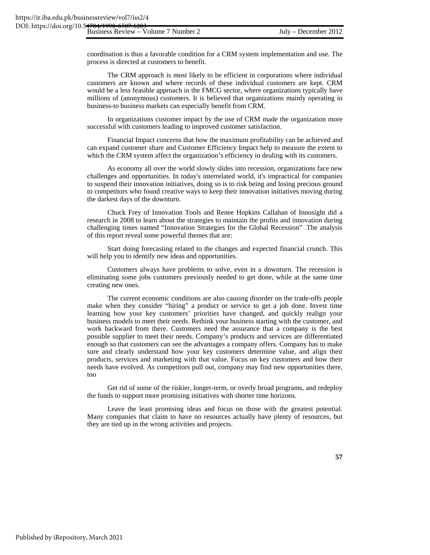coordination is thus a favorable condition for a CRM system implementation and use. The process is directed at customers to benefit.

The CRM approach is most likely to be efficient in corporations where individual customers are known and where records of these individual customers are kept. CRM would be a less feasible approach in the FMCG sector, where organizations typically have millions of (anonymous) customers. It is believed that organizations mainly operating in business-to business markets can especially benefit from CRM.

In organizations customer impact by the use of CRM made the organization more successful with customers leading to improved customer satisfaction.

Financial Impact concerns that how the maximum profitability can be achieved and can expand customer share and Customer Efficiency Impact help to measure the extent to which the CRM system affect the organization's efficiency in dealing with its customers.

As economy all over the world slowly slides into recession, organizations face new challenges and opportunities. In today's interrelated world, it's impractical for companies to suspend their innovation initiatives, doing so is to risk being and losing precious ground to competitors who found creative ways to keep their innovation initiatives moving during the darkest days of the downturn.

Chuck Frey of Innovation Tools and Renee Hopkins Callahan of Innosight did a research in 2008 to learn about the strategies to maintain the profits and innovation during challenging times named "Innovation Strategies for the Global Recession" .The analysis of this report reveal some powerful themes that are:

Start doing forecasting related to the changes and expected financial crunch. This will help you to identify new ideas and opportunities.

Customers always have problems to solve, even in a downturn. The recession is eliminating some jobs customers previously needed to get done, while at the same time creating new ones.

The current economic conditions are also causing disorder on the trade-offs people make when they consider "hiring" a product or service to get a job done. Invest time learning how your key customers' priorities have changed, and quickly realign your business models to meet their needs. Rethink your business starting with the customer, and work backward from there. Customers need the assurance that a company is the best possible supplier to meet their needs. Company's products and services are differentiated enough so that customers can see the advantages a company offers. Company has to make sure and clearly understand how your key customers determine value, and align their products, services and marketing with that value. Focus on key customers and how their needs have evolved. As competitors pull out, company may find new opportunities there, too

Get rid of some of the riskier, longer-term, or overly broad programs, and redeploy the funds to support more promising initiatives with shorter time horizons.

Leave the least promising ideas and focus on those with the greatest potential. Many companies that claim to have no resources actually have plenty of resources, but they are tied up in the wrong activities and projects.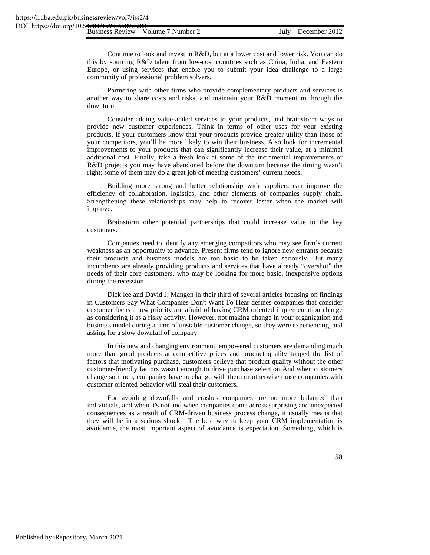Continue to look and invest in R&D, but at a lower cost and lower risk. You can do this by sourcing R&D talent from low-cost countries such as China, India, and Eastern Europe, or using services that enable you to submit your idea challenge to a large community of professional problem solvers.

Partnering with other firms who provide complementary products and services is another way to share costs and risks, and maintain your R&D momentum through the downturn.

Consider adding value-added services to your products, and brainstorm ways to provide new customer experiences. Think in terms of other uses for your existing products. If your customers know that your products provide greater utility than those of your competitors, you'll be more likely to win their business. Also look for incremental improvements to your products that can significantly increase their value, at a minimal additional cost. Finally, take a fresh look at some of the incremental improvements or R&D projects you may have abandoned before the downturn because the timing wasn't right; some of them may do a great job of meeting customers' current needs.

Building more strong and better relationship with suppliers can improve the efficiency of collaboration, logistics, and other elements of companies supply chain. Strengthening these relationships may help to recover faster when the market will improve.

Brainstorm other potential partnerships that could increase value to the key customers.

Companies need to identify any emerging competitors who may see firm's current weakness as an opportunity to advance. Present firms tend to ignore new entrants because their products and business models are too basic to be taken seriously. But many incumbents are already providing products and services that have already "overshot" the needs of their core customers, who may be looking for more basic, inexpensive options during the recession.

Dick lee and David J. Mangen in their third of several articles focusing on findings in Customers Say What Companies Don't Want To Hear defines companies that consider customer focus a low priority are afraid of having CRM oriented implementation change as considering it as a risky activity. However, not making change in your organization and business model during a time of unstable customer change, so they were experiencing, and asking for a slow downfall of company.

In this new and changing environment, empowered customers are demanding much more than good products at competitive prices and product quality topped the list of factors that motivating purchase, customers believe that product quality without the other customer-friendly factors wasn't enough to drive purchase selection And when customers change so much, companies have to change with them or otherwise those companies with customer oriented behavior will steal their customers.

For avoiding downfalls and crashes companies are no more balanced than individuals, and when it's not and when companies come across surprising and unexpected consequences as a result of CRM-driven business process change, it usually means that they will be in a serious shock. The best way to keep your CRM implementation is avoidance, the most important aspect of avoidance is expectation. Something, which is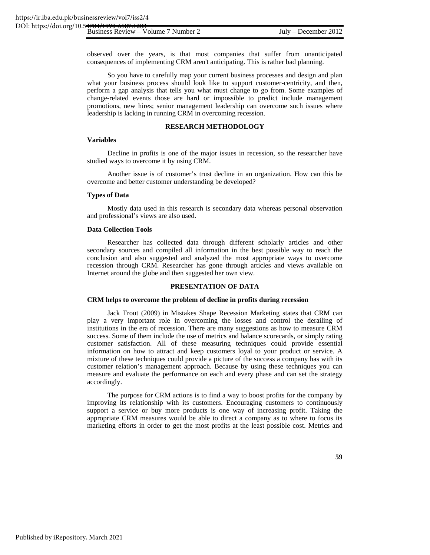observed over the years, is that most companies that suffer from unanticipated consequences of implementing CRM aren't anticipating. This is rather bad planning.

So you have to carefully map your current business processes and design and plan what your business process should look like to support customer-centricity, and then, perform a gap analysis that tells you what must change to go from. Some examples of change-related events those are hard or impossible to predict include management promotions, new hires; senior management leadership can overcome such issues where leadership is lacking in running CRM in overcoming recession.

## **RESEARCH METHODOLOGY**

#### **Variables**

Decline in profits is one of the major issues in recession, so the researcher have studied ways to overcome it by using CRM.

Another issue is of customer's trust decline in an organization. How can this be overcome and better customer understanding be developed?

#### **Types of Data**

Mostly data used in this research is secondary data whereas personal observation and professional's views are also used.

#### **Data Collection Tools**

Researcher has collected data through different scholarly articles and other secondary sources and compiled all information in the best possible way to reach the conclusion and also suggested and analyzed the most appropriate ways to overcome recession through CRM. Researcher has gone through articles and views available on Internet around the globe and then suggested her own view.

#### **PRESENTATION OF DATA**

## **CRM helps to overcome the problem of decline in profits during recession**

Jack Trout (2009) in Mistakes Shape Recession Marketing states that CRM can play a very important role in overcoming the losses and control the derailing of institutions in the era of recession. There are many suggestions as how to measure CRM success. Some of them include the use of metrics and balance scorecards, or simply rating customer satisfaction. All of these measuring techniques could provide essential information on how to attract and keep customers loyal to your product or service. A mixture of these techniques could provide a picture of the success a company has with its customer relation's management approach. Because by using these techniques you can measure and evaluate the performance on each and every phase and can set the strategy accordingly.

The purpose for CRM actions is to find a way to boost profits for the company by improving its relationship with its customers. Encouraging customers to continuously support a service or buy more products is one way of increasing profit. Taking the appropriate CRM measures would be able to direct a company as to where to focus its marketing efforts in order to get the most profits at the least possible cost. Metrics and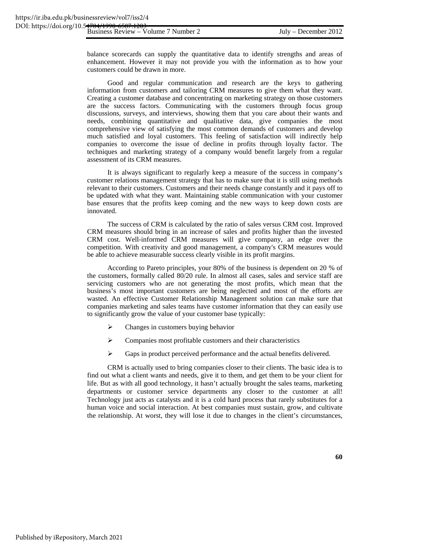balance scorecards can supply the quantitative data to identify strengths and areas of enhancement. However it may not provide you with the information as to how your customers could be drawn in more.

Good and regular communication and research are the keys to gathering information from customers and tailoring CRM measures to give them what they want. Creating a customer database and concentrating on marketing strategy on those customers are the success factors. Communicating with the customers through focus group discussions, surveys, and interviews, showing them that you care about their wants and needs, combining quantitative and qualitative data, give companies the most comprehensive view of satisfying the most common demands of customers and develop much satisfied and loyal customers. This feeling of satisfaction will indirectly help companies to overcome the issue of decline in profits through loyalty factor. The techniques and marketing strategy of a company would benefit largely from a regular assessment of its CRM measures.

It is always significant to regularly keep a measure of the success in company's customer relations management strategy that has to make sure that it is still using methods relevant to their customers. Customers and their needs change constantly and it pays off to be updated with what they want. Maintaining stable communication with your customer base ensures that the profits keep coming and the new ways to keep down costs are innovated.

The success of CRM is calculated by the ratio of sales versus CRM cost. Improved CRM measures should bring in an increase of sales and profits higher than the invested CRM cost. Well-informed CRM measures will give company, an edge over the competition. With creativity and good management, a company's CRM measures would be able to achieve measurable success clearly visible in its profit margins.

According to Pareto principles, your 80% of the business is dependent on 20 % of the customers, formally called 80/20 rule. In almost all cases, sales and service staff are servicing customers who are not generating the most profits, which mean that the business's most important customers are being neglected and most of the efforts are wasted. An effective Customer Relationship Management solution can make sure that companies marketing and sales teams have customer information that they can easily use to significantly grow the value of your customer base typically:

- $\triangleright$  Changes in customers buying behavior
- $\triangleright$  Companies most profitable customers and their characteristics
- ¾ Gaps in product perceived performance and the actual benefits delivered.

CRM is actually used to bring companies closer to their clients. The basic idea is to find out what a client wants and needs, give it to them, and get them to be your client for life. But as with all good technology, it hasn't actually brought the sales teams, marketing departments or customer service departments any closer to the customer at all! Technology just acts as catalysts and it is a cold hard process that rarely substitutes for a human voice and social interaction. At best companies must sustain, grow, and cultivate the relationship. At worst, they will lose it due to changes in the client's circumstances,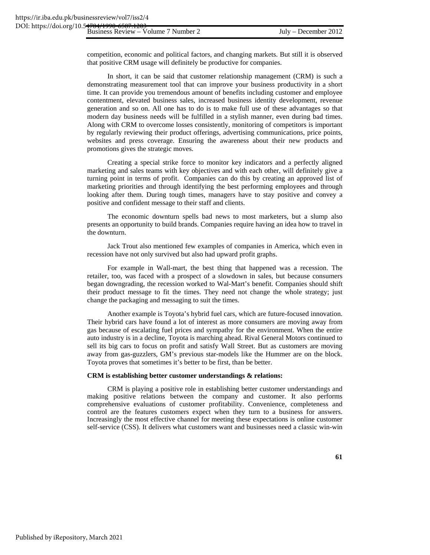competition, economic and political factors, and changing markets. But still it is observed that positive CRM usage will definitely be productive for companies.

In short, it can be said that customer relationship management (CRM) is such a demonstrating measurement tool that can improve your business productivity in a short time. It can provide you tremendous amount of benefits including customer and employee contentment, elevated business sales, increased business identity development, revenue generation and so on. All one has to do is to make full use of these advantages so that modern day business needs will be fulfilled in a stylish manner, even during bad times. Along with CRM to overcome losses consistently, monitoring of competitors is important by regularly reviewing their product offerings, advertising communications, price points, websites and press coverage. Ensuring the awareness about their new products and promotions gives the strategic moves.

Creating a special strike force to monitor key indicators and a perfectly aligned marketing and sales teams with key objectives and with each other, will definitely give a turning point in terms of profit. Companies can do this by creating an approved list of marketing priorities and through identifying the best performing employees and through looking after them. During tough times, managers have to stay positive and convey a positive and confident message to their staff and clients.

The economic downturn spells bad news to most marketers, but a slump also presents an opportunity to build brands. Companies require having an idea how to travel in the downturn.

Jack Trout also mentioned few examples of companies in America, which even in recession have not only survived but also had upward profit graphs.

For example in Wall-mart, the best thing that happened was a recession. The retailer, too, was faced with a prospect of a slowdown in sales, but because consumers began downgrading, the recession worked to Wal-Mart's benefit. Companies should shift their product message to fit the times. They need not change the whole strategy; just change the packaging and messaging to suit the times.

Another example is Toyota's hybrid fuel cars, which are future-focused innovation. Their hybrid cars have found a lot of interest as more consumers are moving away from gas because of escalating fuel prices and sympathy for the environment. When the entire auto industry is in a decline, Toyota is marching ahead. Rival General Motors continued to sell its big cars to focus on profit and satisfy Wall Street. But as customers are moving away from gas-guzzlers, GM's previous star-models like the Hummer are on the block. Toyota proves that sometimes it's better to be first, than be better.

#### **CRM is establishing better customer understandings & relations:**

CRM is playing a positive role in establishing better customer understandings and making positive relations between the company and customer. It also performs comprehensive evaluations of customer profitability. Convenience, completeness and control are the features customers expect when they turn to a business for answers. Increasingly the most effective channel for meeting these expectations is online customer self-service (CSS). It delivers what customers want and businesses need a classic win-win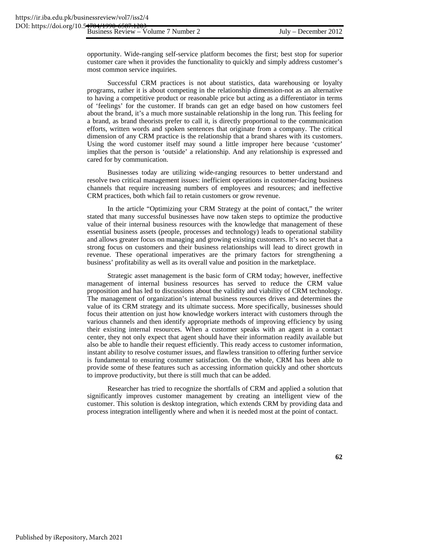opportunity. Wide-ranging self-service platform becomes the first; best stop for superior customer care when it provides the functionality to quickly and simply address customer's most common service inquiries.

Successful CRM practices is not about statistics, data warehousing or loyalty programs, rather it is about competing in the relationship dimension-not as an alternative to having a competitive product or reasonable price but acting as a differentiator in terms of 'feelings' for the customer. If brands can get an edge based on how customers feel about the brand, it's a much more sustainable relationship in the long run. This feeling for a brand, as brand theorists prefer to call it, is directly proportional to the communication efforts, written words and spoken sentences that originate from a company. The critical dimension of any CRM practice is the relationship that a brand shares with its customers. Using the word customer itself may sound a little improper here because 'customer' implies that the person is 'outside' a relationship. And any relationship is expressed and cared for by communication.

Businesses today are utilizing wide-ranging resources to better understand and resolve two critical management issues: inefficient operations in customer-facing business channels that require increasing numbers of employees and resources; and ineffective CRM practices, both which fail to retain customers or grow revenue.

In the article "Optimizing your CRM Strategy at the point of contact," the writer stated that many successful businesses have now taken steps to optimize the productive value of their internal business resources with the knowledge that management of these essential business assets (people, processes and technology) leads to operational stability and allows greater focus on managing and growing existing customers. It's no secret that a strong focus on customers and their business relationships will lead to direct growth in revenue. These operational imperatives are the primary factors for strengthening a business' profitability as well as its overall value and position in the marketplace.

Strategic asset management is the basic form of CRM today; however, ineffective management of internal business resources has served to reduce the CRM value proposition and has led to discussions about the validity and viability of CRM technology. The management of organization's internal business resources drives and determines the value of its CRM strategy and its ultimate success. More specifically, businesses should focus their attention on just how knowledge workers interact with customers through the various channels and then identify appropriate methods of improving efficiency by using their existing internal resources. When a customer speaks with an agent in a contact center, they not only expect that agent should have their information readily available but also be able to handle their request efficiently. This ready access to customer information, instant ability to resolve costumer issues, and flawless transition to offering further service is fundamental to ensuring costumer satisfaction. On the whole, CRM has been able to provide some of these features such as accessing information quickly and other shortcuts to improve productivity, but there is still much that can be added.

Researcher has tried to recognize the shortfalls of CRM and applied a solution that significantly improves customer management by creating an intelligent view of the customer. This solution is desktop integration, which extends CRM by providing data and process integration intelligently where and when it is needed most at the point of contact.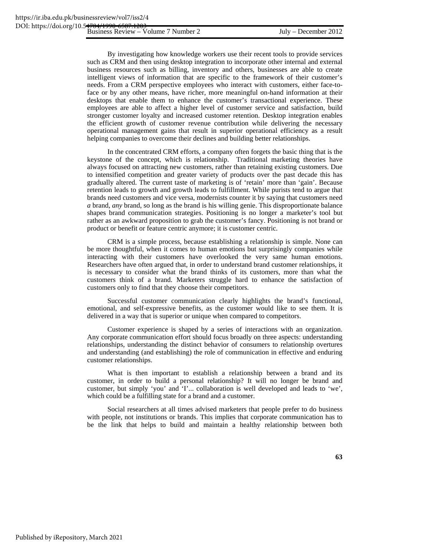By investigating how knowledge workers use their recent tools to provide services such as CRM and then using desktop integration to incorporate other internal and external business resources such as billing, inventory and others, businesses are able to create intelligent views of information that are specific to the framework of their customer's needs. From a CRM perspective employees who interact with customers, either face-toface or by any other means, have richer, more meaningful on-hand information at their desktops that enable them to enhance the customer's transactional experience. These employees are able to affect a higher level of customer service and satisfaction, build stronger customer loyalty and increased customer retention. Desktop integration enables the efficient growth of customer revenue contribution while delivering the necessary operational management gains that result in superior operational efficiency as a result helping companies to overcome their declines and building better relationships.

In the concentrated CRM efforts, a company often forgets the basic thing that is the keystone of the concept, which is relationship. Traditional marketing theories have always focused on attracting new customers, rather than retaining existing customers. Due to intensified competition and greater variety of products over the past decade this has gradually altered. The current taste of marketing is of 'retain' more than 'gain'. Because retention leads to growth and growth leads to fulfillment. While purists tend to argue that brands need customers and vice versa, modernists counter it by saying that customers need *a* brand, *any* brand, so long as the brand is his willing genie. This disproportionate balance shapes brand communication strategies. Positioning is no longer a marketer's tool but rather as an awkward proposition to grab the customer's fancy. Positioning is not brand or product or benefit or feature centric anymore; it is customer centric.

CRM is a simple process, because establishing a relationship is simple. None can be more thoughtful, when it comes to human emotions but surprisingly companies while interacting with their customers have overlooked the very same human emotions. Researchers have often argued that, in order to understand brand customer relationships, it is necessary to consider what the brand thinks of its customers, more than what the customers think of a brand. Marketers struggle hard to enhance the satisfaction of customers only to find that they choose their competitors.

Successful customer communication clearly highlights the brand's functional, emotional, and self-expressive benefits, as the customer would like to see them. It is delivered in a way that is superior or unique when compared to competitors.

Customer experience is shaped by a series of interactions with an organization. Any corporate communication effort should focus broadly on three aspects: understanding relationships, understanding the distinct behavior of consumers to relationship overtures and understanding (and establishing) the role of communication in effective and enduring customer relationships.

What is then important to establish a relationship between a brand and its customer, in order to build a personal relationship? It will no longer be brand and customer, but simply 'you' and 'I'... collaboration is well developed and leads to 'we', which could be a fulfilling state for a brand and a customer.

Social researchers at all times advised marketers that people prefer to do business with people, not institutions or brands. This implies that corporate communication has to be the link that helps to build and maintain a healthy relationship between both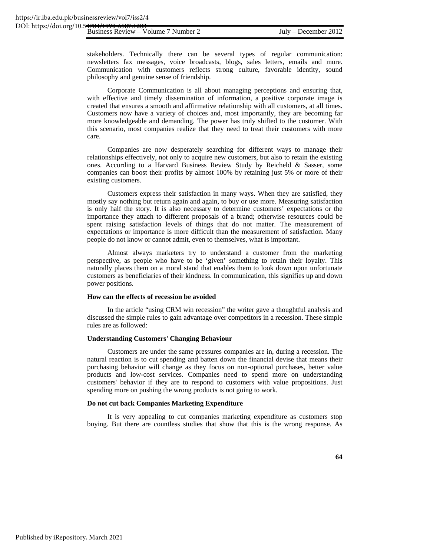stakeholders. Technically there can be several types of regular communication: newsletters fax messages, voice broadcasts, blogs, sales letters, emails and more. Communication with customers reflects strong culture, favorable identity, sound philosophy and genuine sense of friendship.

Corporate Communication is all about managing perceptions and ensuring that, with effective and timely dissemination of information, a positive corporate image is created that ensures a smooth and affirmative relationship with all customers, at all times. Customers now have a variety of choices and, most importantly, they are becoming far more knowledgeable and demanding. The power has truly shifted to the customer. With this scenario, most companies realize that they need to treat their customers with more care.

Companies are now desperately searching for different ways to manage their relationships effectively, not only to acquire new customers, but also to retain the existing ones. According to a Harvard Business Review Study by Reicheld & Sasser, some companies can boost their profits by almost 100% by retaining just 5% or more of their existing customers.

Customers express their satisfaction in many ways. When they are satisfied, they mostly say nothing but return again and again, to buy or use more. Measuring satisfaction is only half the story. It is also necessary to determine customers' expectations or the importance they attach to different proposals of a brand; otherwise resources could be spent raising satisfaction levels of things that do not matter. The measurement of expectations or importance is more difficult than the measurement of satisfaction. Many people do not know or cannot admit, even to themselves, what is important.

Almost always marketers try to understand a customer from the marketing perspective, as people who have to be 'given' something to retain their loyalty. This naturally places them on a moral stand that enables them to look down upon unfortunate customers as beneficiaries of their kindness. In communication, this signifies up and down power positions.

#### **How can the effects of recession be avoided**

In the article "using CRM win recession" the writer gave a thoughtful analysis and discussed the simple rules to gain advantage over competitors in a recession. These simple rules are as followed:

#### **Understanding Customers' Changing Behaviour**

Customers are under the same pressures companies are in, during a recession. The natural reaction is to cut spending and batten down the financial devise that means their purchasing behavior will change as they focus on non-optional purchases, better value products and low-cost services. Companies need to spend more on understanding customers' behavior if they are to respond to customers with value propositions. Just spending more on pushing the wrong products is not going to work.

#### **Do not cut back Companies Marketing Expenditure**

It is very appealing to cut companies marketing expenditure as customers stop buying. But there are countless studies that show that this is the wrong response. As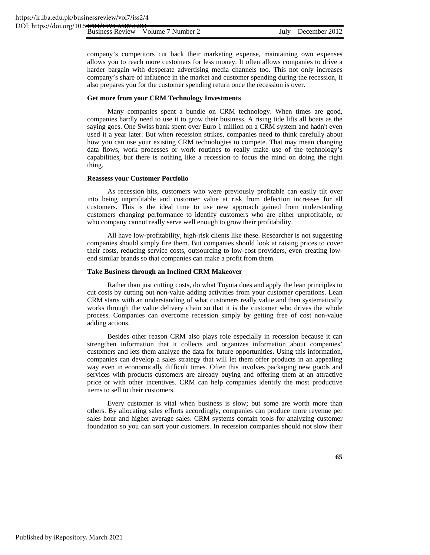company's competitors cut back their marketing expense, maintaining own expenses allows you to reach more customers for less money. It often allows companies to drive a harder bargain with desperate advertising media channels too. This not only increases company's share of influence in the market and customer spending during the recession, it also prepares you for the customer spending return once the recession is over.

#### **Get more from your CRM Technology Investments**

Many companies spent a bundle on CRM technology. When times are good, companies hardly need to use it to grow their business. A rising tide lifts all boats as the saying goes. One Swiss bank spent over Euro 1 million on a CRM system and hadn't even used it a year later. But when recession strikes, companies need to think carefully about how you can use your existing CRM technologies to compete. That may mean changing data flows, work processes or work routines to really make use of the technology's capabilities, but there is nothing like a recession to focus the mind on doing the right thing.

#### **Reassess your Customer Portfolio**

As recession hits, customers who were previously profitable can easily tilt over into being unprofitable and customer value at risk from defection increases for all customers. This is the ideal time to use new approach gained from understanding customers changing performance to identify customers who are either unprofitable, or who company cannot really serve well enough to grow their profitability.

All have low-profitability, high-risk clients like these. Researcher is not suggesting companies should simply fire them. But companies should look at raising prices to cover their costs, reducing service costs, outsourcing to low-cost providers, even creating lowend similar brands so that companies can make a profit from them.

#### **Take Business through an Inclined CRM Makeover**

Rather than just cutting costs, do what Toyota does and apply the lean principles to cut costs by cutting out non-value adding activities from your customer operations. Lean CRM starts with an understanding of what customers really value and then systematically works through the value delivery chain so that it is the customer who drives the whole process. Companies can overcome recession simply by getting free of cost non-value adding actions.

Besides other reason CRM also plays role especially in recession because it can strengthen information that it collects and organizes information about companies' customers and lets them analyze the data for future opportunities. Using this information, companies can develop a sales strategy that will let them offer products in an appealing way even in economically difficult times. Often this involves packaging new goods and services with products customers are already buying and offering them at an attractive price or with other incentives. CRM can help companies identify the most productive items to sell to their customers.

Every customer is vital when business is slow; but some are worth more than others. By allocating sales efforts accordingly, companies can produce more revenue per sales hour and higher average sales. CRM systems contain tools for analyzing customer foundation so you can sort your customers. In recession companies should not slow their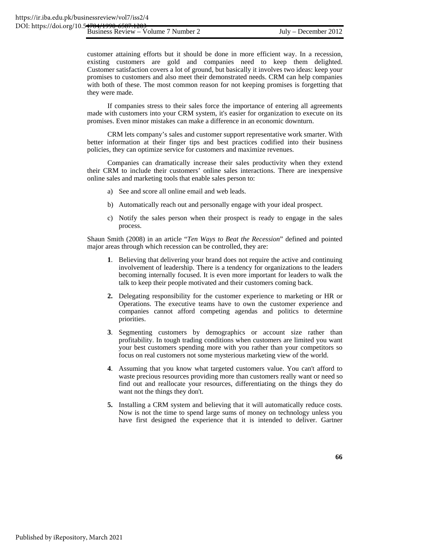customer attaining efforts but it should be done in more efficient way. In a recession, existing customers are gold and companies need to keep them delighted. Customer satisfaction covers a lot of ground, but basically it involves two ideas: keep your promises to customers and also meet their demonstrated needs. CRM can help companies with both of these. The most common reason for not keeping promises is forgetting that they were made.

If companies stress to their sales force the importance of entering all agreements made with customers into your CRM system, it's easier for organization to execute on its promises. Even minor mistakes can make a difference in an economic downturn.

CRM lets company's sales and customer support representative work smarter. With better information at their finger tips and best practices codified into their business policies, they can optimize service for customers and maximize revenues.

Companies can dramatically increase their sales productivity when they extend their CRM to include their customers' online sales interactions. There are inexpensive online sales and marketing tools that enable sales person to:

- a) See and score all online email and web leads.
- b) Automatically reach out and personally engage with your ideal prospect.
- c) Notify the sales person when their prospect is ready to engage in the sales process.

Shaun Smith (2008) in an article "*Ten Ways to Beat the Recession*" defined and pointed major areas through which recession can be controlled, they are:

- **1**. Believing that delivering your brand does not require the active and continuing involvement of leadership. There is a tendency for organizations to the leaders becoming internally focused. It is even more important for leaders to walk the talk to keep their people motivated and their customers coming back.
- **2.** Delegating responsibility for the customer experience to marketing or HR or Operations. The executive teams have to own the customer experience and companies cannot afford competing agendas and politics to determine priorities.
- **3**. Segmenting customers by demographics or account size rather than profitability. In tough trading conditions when customers are limited you want your best customers spending more with you rather than your competitors so focus on real customers not some mysterious marketing view of the world.
- **4**. Assuming that you know what targeted customers value. You can't afford to waste precious resources providing more than customers really want or need so find out and reallocate your resources, differentiating on the things they do want not the things they don't.
- **5.** Installing a CRM system and believing that it will automatically reduce costs. Now is not the time to spend large sums of money on technology unless you have first designed the experience that it is intended to deliver. Gartner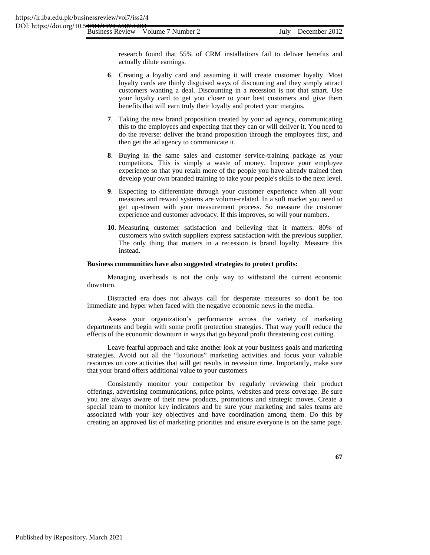research found that 55% of CRM installations fail to deliver benefits and actually dilute earnings.

- **6**. Creating a loyalty card and assuming it will create customer loyalty. Most loyalty cards are thinly disguised ways of discounting and they simply attract customers wanting a deal. Discounting in a recession is not that smart. Use your loyalty card to get you closer to your best customers and give them benefits that will earn truly their loyalty and protect your margins.
- **7**. Taking the new brand proposition created by your ad agency, communicating this to the employees and expecting that they can or will deliver it. You need to do the reverse: deliver the brand proposition through the employees first, and then get the ad agency to communicate it.
- **8**. Buying in the same sales and customer service-training package as your competitors. This is simply a waste of money. Improve your employee experience so that you retain more of the people you have already trained then develop your own branded training to take your people's skills to the next level.
- **9**. Expecting to differentiate through your customer experience when all your measures and reward systems are volume-related. In a soft market you need to get up-stream with your measurement process. So measure the customer experience and customer advocacy. If this improves, so will your numbers.
- **10**. Measuring customer satisfaction and believing that it matters. 80% of customers who switch suppliers express satisfaction with the previous supplier. The only thing that matters in a recession is brand loyalty. Measure this instead.

#### **Business communities have also suggested strategies to protect profits:**

Managing overheads is not the only way to withstand the current economic downturn.

Distracted era does not always call for desperate measures so don't be too immediate and hyper when faced with the negative economic news in the media.

Assess your organization's performance across the variety of marketing departments and begin with some profit protection strategies. That way you'll reduce the effects of the economic downturn in ways that go beyond profit threatening cost cutting.

Leave fearful approach and take another look at your business goals and marketing strategies. Avoid out all the "luxurious" marketing activities and focus your valuable resources on core activities that will get results in recession time. Importantly, make sure that your brand offers additional value to your customers

Consistently monitor your competitor by regularly reviewing their product offerings, advertising communications, price points, websites and press coverage. Be sure you are always aware of their new products, promotions and strategic moves. Create a special team to monitor key indicators and be sure your marketing and sales teams are associated with your key objectives and have coordination among them. Do this by creating an approved list of marketing priorities and ensure everyone is on the same page.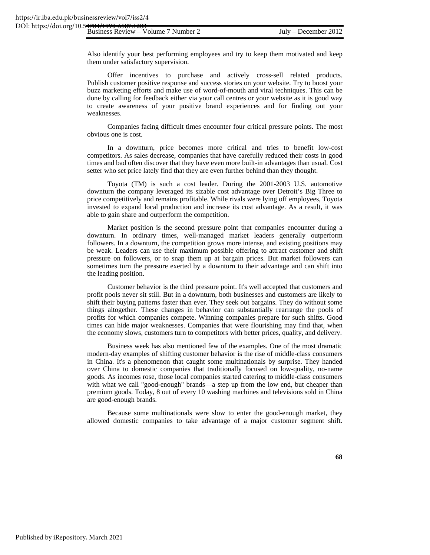Also identify your best performing employees and try to keep them motivated and keep them under satisfactory supervision.

Offer incentives to purchase and actively cross-sell related products. Publish customer positive response and success stories on your website. Try to boost your buzz marketing efforts and make use of word-of-mouth and viral techniques. This can be done by calling for feedback either via your call centres or your website as it is good way to create awareness of your positive brand experiences and for finding out your weaknesses.

Companies facing difficult times encounter four critical pressure points. The most obvious one is cost.

In a downturn, price becomes more critical and tries to benefit low-cost competitors. As sales decrease, companies that have carefully reduced their costs in good times and bad often discover that they have even more built-in advantages than usual. Cost setter who set price lately find that they are even further behind than they thought.

Toyota (TM) is such a cost leader. During the 2001-2003 U.S. automotive downturn the company leveraged its sizable cost advantage over Detroit's Big Three to price competitively and remains profitable. While rivals were lying off employees, Toyota invested to expand local production and increase its cost advantage. As a result, it was able to gain share and outperform the competition.

Market position is the second pressure point that companies encounter during a downturn. In ordinary times, well-managed market leaders generally outperform followers. In a downturn, the competition grows more intense, and existing positions may be weak. Leaders can use their maximum possible offering to attract customer and shift pressure on followers, or to snap them up at bargain prices. But market followers can sometimes turn the pressure exerted by a downturn to their advantage and can shift into the leading position.

Customer behavior is the third pressure point. It's well accepted that customers and profit pools never sit still. But in a downturn, both businesses and customers are likely to shift their buying patterns faster than ever. They seek out bargains. They do without some things altogether. These changes in behavior can substantially rearrange the pools of profits for which companies compete. Winning companies prepare for such shifts. Good times can hide major weaknesses. Companies that were flourishing may find that, when the economy slows, customers turn to competitors with better prices, quality, and delivery.

Business week has also mentioned few of the examples. One of the most dramatic modern-day examples of shifting customer behavior is the rise of middle-class consumers in China. It's a phenomenon that caught some multinationals by surprise. They handed over China to domestic companies that traditionally focused on low-quality, no-name goods. As incomes rose, those local companies started catering to middle-class consumers with what we call "good-enough" brands—a step up from the low end, but cheaper than premium goods. Today, 8 out of every 10 washing machines and televisions sold in China are good-enough brands.

Because some multinationals were slow to enter the good-enough market, they allowed domestic companies to take advantage of a major customer segment shift.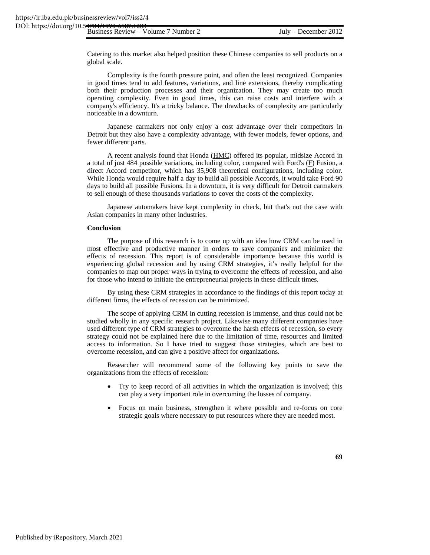Catering to this market also helped position these Chinese companies to sell products on a global scale.

Complexity is the fourth pressure point, and often the least recognized. Companies in good times tend to add features, variations, and line extensions, thereby complicating both their production processes and their organization. They may create too much operating complexity. Even in good times, this can raise costs and interfere with a company's efficiency. It's a tricky balance. The drawbacks of complexity are particularly noticeable in a downturn.

Japanese carmakers not only enjoy a cost advantage over their competitors in Detroit but they also have a complexity advantage, with fewer models, fewer options, and fewer different parts.

A recent analysis found that Honda (HMC) offered its popular, midsize Accord in a total of just 484 possible variations, including color, compared with Ford's  $(E)$  Fusion, a direct Accord competitor, which has 35,908 theoretical configurations, including color. While Honda would require half a day to build all possible Accords, it would take Ford 90 days to build all possible Fusions. In a downturn, it is very difficult for Detroit carmakers to sell enough of these thousands variations to cover the costs of the complexity.

Japanese automakers have kept complexity in check, but that's not the case with Asian companies in many other industries.

## **Conclusion**

The purpose of this research is to come up with an idea how CRM can be used in most effective and productive manner in orders to save companies and minimize the effects of recession. This report is of considerable importance because this world is experiencing global recession and by using CRM strategies, it's really helpful for the companies to map out proper ways in trying to overcome the effects of recession, and also for those who intend to initiate the entrepreneurial projects in these difficult times.

By using these CRM strategies in accordance to the findings of this report today at different firms, the effects of recession can be minimized.

The scope of applying CRM in cutting recession is immense, and thus could not be studied wholly in any specific research project. Likewise many different companies have used different type of CRM strategies to overcome the harsh effects of recession, so every strategy could not be explained here due to the limitation of time, resources and limited access to information. So I have tried to suggest those strategies, which are best to overcome recession, and can give a positive affect for organizations.

Researcher will recommend some of the following key points to save the organizations from the effects of recession:

- Try to keep record of all activities in which the organization is involved; this can play a very important role in overcoming the losses of company.
- Focus on main business, strengthen it where possible and re-focus on core strategic goals where necessary to put resources where they are needed most.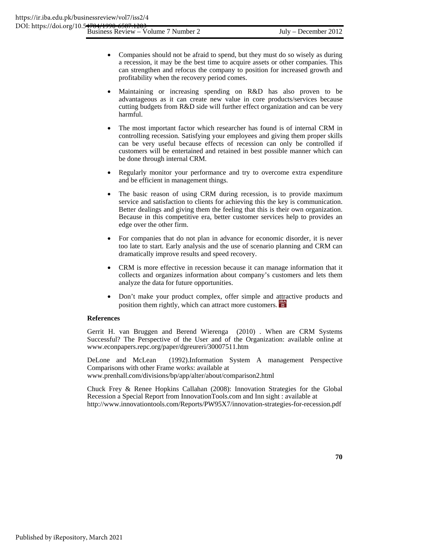- Companies should not be afraid to spend, but they must do so wisely as during a recession, it may be the best time to acquire assets or other companies. This can strengthen and refocus the company to position for increased growth and profitability when the recovery period comes.
- Maintaining or increasing spending on R&D has also proven to be advantageous as it can create new value in core products/services because cutting budgets from R&D side will further effect organization and can be very harmful.
- The most important factor which researcher has found is of internal CRM in controlling recession. Satisfying your employees and giving them proper skills can be very useful because effects of recession can only be controlled if customers will be entertained and retained in best possible manner which can be done through internal CRM.
- Regularly monitor your performance and try to overcome extra expenditure and be efficient in management things.
- The basic reason of using CRM during recession, is to provide maximum service and satisfaction to clients for achieving this the key is communication. Better dealings and giving them the feeling that this is their own organization. Because in this competitive era, better customer services help to provides an edge over the other firm.
- For companies that do not plan in advance for economic disorder, it is never too late to start. Early analysis and the use of scenario planning and CRM can dramatically improve results and speed recovery.
- CRM is more effective in recession because it can manage information that it collects and organizes information about company's customers and lets them analyze the data for future opportunities.
- Don't make your product complex, offer simple and attractive products and position them rightly, which can attract more customers.

## **References**

Gerrit H. van Bruggen and Berend Wierenga (2010) . When are CRM Systems Successful? The Perspective of the User and of the Organization: available online at www.econpapers.repc.org/paper/dgreureri/30007511.htm

DeLone and McLean (1992).Information System A management Perspective Comparisons with other Frame works: available at www.prenhall.com/divisions/bp/app/alter/about/comparison2.html

Chuck Frey & Renee Hopkins Callahan (2008): Innovation Strategies for the Global Recession a Special Report from InnovationTools.com and Inn sight : available at http://www.innovationtools.com/Reports/PW95X7/innovation-strategies-for-recession.pdf